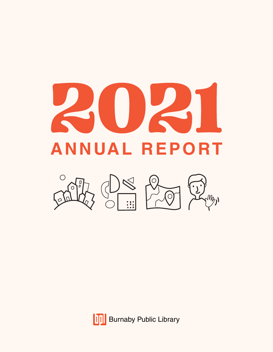



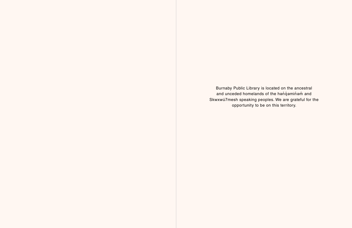Burnaby Public Library is located on the ancestral and unceded homelands of the handvaminam and Skwxwú7mesh speaking peoples. We are grateful for the opportunity to be on this territory.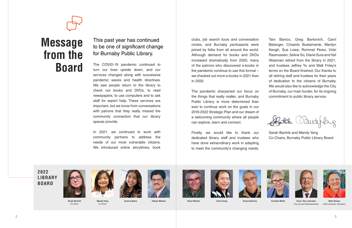Tani Banico, Greg Barkovich, Carol Belanger, Crisanto Bustamante, Marilyn Keogh, Sue Lowe, Rommel Perez, Vicki Rasmussen, Seline So, Diane Sura and Yail Waisman retired from the library in 2021, and trustees Jeffrey Yu and Matt Foley's terms on the Board finished. Our thanks to all retiring staff and trustees for their years of dedication to the citizens of Burnaby. We would also like to acknowledge the City of Burnaby, our main funder, for its ongoing commitment to public library service.

Sarah Bartnik and Mandy Yang Co-Chairs, Burnaby Public Library Board



clubs, job search tours and conversation circles, and Burnaby participants were joined by folks from all around the world. Although demand for books and DVDs increased dramatically from 2020, many of the patrons who discovered e-books in the pandemic continue to use this format – we checked out more e-books in 2021 than in 2020.

The pandemic sharpened our focus on the things that really matter, and Burnaby Public Library is more determined than ever to continue work on the goals in our 2019-2022 Strategic Plan and our dream of a welcoming community where all people can explore, learn and connect.



**Beth Davies** Chief Librarian, Secretary

Finally, we would like to thank our dedicated library staff and trustees who have done extraordinary work in adapting to meet the community's changing needs.

The COVID-19 pandemic continued to turn our lives upside down, and our services changed along with successive pandemic waves and health directives. We saw people return to the library to check out books and DVDs, to read newspapers, to use computers and to ask staff for expert help. These services are important, but we know from conversations with patrons that they really missed the community connection that our library spaces provide.

In 2021, we continued to work with community partners to address the needs of our most vulnerable citizens. We introduced online storytimes, book



**Sarah Bartnik** Co-Chair



**Mandy Yang** Co-Chair











2 a set  $\sim$  3



**Surena Bains Hakam Bhaloo Gene Blishen Chris Dong Ernie Kashima Caroline White Coun. Dan Johnston** City Council Representative

### This past year has continued to be one of significant change for Burnaby Public Library.

**2022 LIBRARY BOARD**



## **Message from the Board**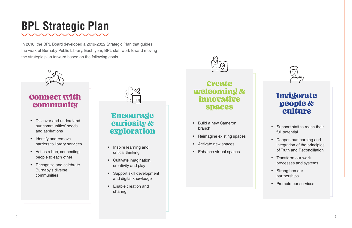In 2018, the BPL Board developed a 2019-2022 Strategic Plan that guides the work of Burnaby Public Library. Each year, BPL staff work toward moving the strategic plan forward based on the following goals.



## **BPL Strategic Plan**

- Support staff to reach their full potential
- Deepen our learning and integration of the principles of Truth and Reconciliation
- Transform our work processes and systems
- Strengthen our partnerships
- Promote our services
- Discover and understand our communities' needs and aspirations
- Identify and remove barriers to library services
- Act as a hub, connecting people to each other
- Recognize and celebrate Burnaby's diverse communities



- Build a new Cameron branch
- Reimagine existing spaces
- Activate new spaces
- Enhance virtual spaces



- Inspire learning and critical thinking
- Cultivate imagination, creativity and play
- Support skill development and digital knowledge
- Enable creation and sharing



### Connect with community

### Encourage curiosity & exploration

### Create welcoming & innovative spaces

### Invigorate people & culture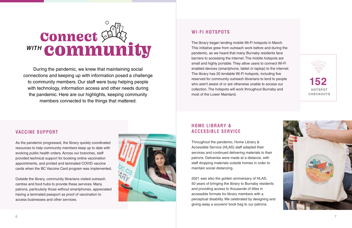

connections and keeping up with information posed a challenge During the pandemic, we knew that maintaining social to community members. Our staff were busy helping people with technology, information access and other needs during the pandemic. Here are our highlights, keeping community members connected to the things that mattered.

appointments, and printed and laminated COVID vaccine As the pandemic progressed, the library quickly coordinated resources to help community members keep up to date with evolving public health orders. Across our branches, staff provided technical support for booking online vaccination cards when the BC Vaccine Card program was implemented.

### **VACCINE SUPPORT**

Outside the library, community librarians visited outreach centres and food hubs to provide these services. Many patrons, particularly those without smartphones, appreciated having a laminated passport as proof of vaccination to access businesses and other services.



### **WI-FI HOTSPOTS**

The library began lending mobile Wi-Fi hotspots in March. This initiative grew from outreach work before and during the pandemic, as we heard that many Burnaby residents face barriers to accessing the internet. The mobile hotspots are small and highly portable. They allow users to connect Wi-Fi enabled devices (smartphone, tablet or laptop) to the internet. The library has 20 lendable Wi-Fi hotspots, including five reserved for community outreach librarians to lend to people who aren't aware of or are otherwise unable to access our collection. The hotspots will work throughout Burnaby and most of the Lower Mainland.

### **HOME LIBRARY & ACCESSIBLE SERVICE**

Throughout the pandemic, Home Library & Accessible Service (HLAS) staff adapted their services and continued delivering materials to their patrons. Deliveries were made at a distance, with staff dropping materials outside homes in order to maintain social distancing.

2021 was also the golden anniversary of HLAS: 50 years of bringing the library to Burnaby residents and providing access to thousands of titles in accessible formats for library members with a perceptual disability. We celebrated by designing and giving away a souvenir book bag to our patrons.



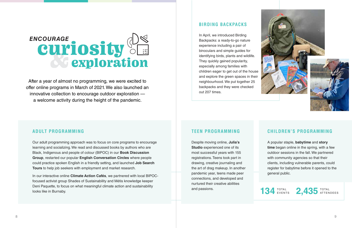# ENCOURAGE<br> **CUITIOSITY**

offer online programs in March of 2021. We also launched an After a year of almost no programming, we were excited to innovative collection to encourage outdoor exploration a welcome activity during the height of the pandemic.

### *INVIGORATE* **ADULT PROGRAMMING**

Our adult programming approach was to focus on core programs to encourage learning and socializing. We read and discussed books by authors who are Black, Indigenous and people of colour (BIPOC) in our **Book Discussion Group**, restarted our popular **English Conversation Circles** where people could practice spoken English in a friendly setting, and launched **Job Search Tours** to help job seekers with employment and market research.

In our interactive online **Climate Action Cafés**, we partnered with local BIPOCfocused activist group Shades of Sustainability and Métis knowledge keeper Deni Paquette, to focus on what meaningful climate action and sustainability looks like in Burnaby.

### **BIRDING BACKPACKS**

### TOTA L EVENTS 134 **EVENTS** 2,435 TOTAL

In April, we introduced Birding Backpacks: a ready-to-go nature experience including a pair of binoculars and simple guides for identifying birds, plants and wildlife. They quickly gained popularity, especially among families with children eager to get out of the house and explore the green spaces in their neighbourhood. We put together 25 backpacks and they were checked out 207 times.

### **TEEN PROGRAMMING**

Despite moving online, **Julia's Studio** experienced one of its most successful years with 155 registrations. Teens took part in drawing, creative journaling and the art of drag makeup. In another pandemic year, teens made peer connections, and developed and nurtured their creative abilities and passions.



### **CHILDREN'S PROGRAMMING**

A popular staple, **babytime** and **story time** began online in the spring, with a few outdoor sessions in the fall. We partnered with community agencies so that their clients, including vulnerable parents, could register for babytime before it opened to the general public.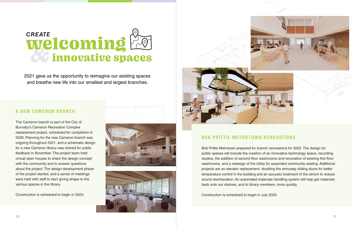



### **BOB PRITTIE METROTOWN RENOVATIONS**

Bob Prittie Metrotown prepared for branch renovations for 2022. The design for public spaces will include the creation of an innovative technology space, recording studios, the addition of second floor washrooms and renovation of existing first floor washrooms, and a redesign of the lobby for expanded community seating. Additional projects are an elevator replacement, doubling the entryway sliding doors for better temperature control in the building and an acoustic treatment of the atrium to reduce sound reverberation. An automated materials handling system will help get materials back onto our shelves, and to library members, more quickly.

Construction is scheduled to begin in July 2022.

# **CREATE**<br> **Welcoming**

2021 gave us the opportunity to reimagine our existing spaces and breathe new life into our smallest and largest branches.

### **A NEW CAMERON BRANCH**

The Cameron branch is part of the City of Burnaby's Cameron Recreation Complex replacement project, scheduled for completion in 2026. Planning for the new Cameron branch was ongoing throughout 2021, and a schematic design for a new Cameron library was shared for public feedback in November. The project team held virtual open houses to share the design concept with the community and to answer questions about the project. The design development phase of the project started, and a series of meetings were held with staff to start giving shape to the various spaces in the library.

Construction is scheduled to begin in 2023.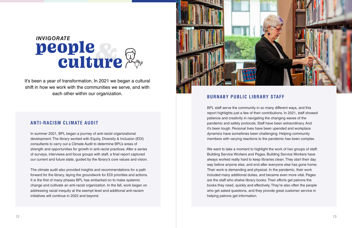### **ANTI-RACISM CLIMATE AUDIT**

**CREATE** 

In summer 2021, BPL began a journey of anti-racist organizational development. The library worked with Equity, Diversity & Inclusion (EDI) consultants to carry out a Climate Audit to determine BPL's areas of strength and opportunities for growth in anti-racist practices. After a series of surveys, interviews and focus groups with staff, a final report captured our current and future state, guided by the library's core values and vision.

The climate audit also provided insights and recommendations for a path forward for the library, laying the groundwork for EDI priorities and actions. It is the first of many phases BPL has embarked on to make systemic change and cultivate an anti-racist organization. In the fall, work began on addressing racial inequity at the exempt level and additional anti-racism initiatives will continue in 2022 and beyond.

### **BURNABY PUBLIC LIBRARY STAFF**

BPL staff serve the community in so many different ways, and this report highlights just a few of their contributions. In 2021, staff showed patience and creativity in navigating the changing waves of the pandemic and safety protocols. Staff have been extraordinary. And it's been tough. Personal lives have been upended and workplace dynamics have sometimes been challenging. Helping community members with varying reactions to the pandemic has been complex.

We want to take a moment to highlight the work of two groups of staff: Building Service Workers and Pages. Building Service Workers have always worked really hard to keep libraries clean. They start their day way before anyone else, and end after everyone else has gone home. Their work is demanding and physical. In the pandemic, their work included many additional duties, and became even more vital. Pages are the staff who shelve library books. Their efforts get patrons the books they need, quickly and effectively. They're also often the people who get asked questions, and they provide great customer service in helping patrons get information.

# INVIGORATE<br>**De Ople**<br>Culture

It's been a year of transformation. In 2021 we began a cultural shift in how we work with the communities we serve, and with each other within our organization.

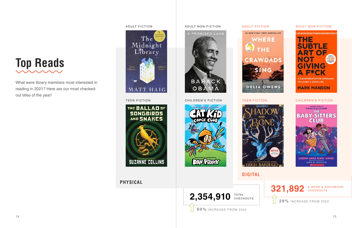

What were library members most interested in reading in 2021? Here are our most checkedout titles of the year!





TOTA L 2,354,910 **TOTAL** 

### ADULT FICTION ADULT FICTION



TEEN FICTION CHILDREN'S FICTION TEEN FICTION

**321,892** E-BOOK & AUDIOBOOK **29%** INCREASE FROM 2020





**PHYSICAL**

**DIGITAL**

**60%** INCREASE FROM 2020



### ADULT NON-FICTION



### CHILDREN'S FICTION

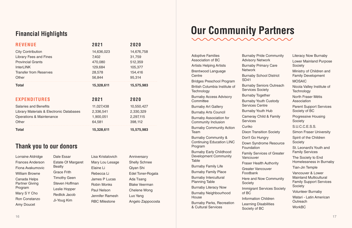Lorraine Aldridge Frances Anderson Fiona Avakumovic William Browne Canada Helps Partner Giving Program Mary S Y Cho Ron Constanzo Amy Doucet

Dale Essar Estate Of Margaret **Beatty** Grace Frith Timothy Geen Steven Hoffman Leslie Hopper Redlick Jacob Ji-Youg Kim

Lisa Kristalovich Mary Lou Lesage Elaine Li Rebecca Li James P Lucas Robin Monks Paul Nelson Jennifer Ramesh RBC Milestone

Anniversary Shelly Schnee Qiyan Shi Edel Toner-Rogala Ada Tsang Blake Veerman Chelene Wong Luo Yang Angelo Zappocosta

| <b>REVENUE</b>                           | 2021       | 2020       |
|------------------------------------------|------------|------------|
| <b>City Contribution</b>                 | 14,636,023 | 14,676,758 |
| <b>Library Fees and Fines</b>            | 7,402      | 31,759     |
| <b>Provincial Grants</b>                 | 470,080    | 512,359    |
| <b>InterLINK</b>                         | 129,684    | 105,377    |
| <b>Transfer from Reserves</b>            | 28,578     | 154,416    |
| Other                                    | 56,844     | 95,314     |
| <b>Total</b>                             | 15,328,611 | 15,575,983 |
| <b>EXPENDITURES</b>                      | 2021       | 2020       |
| <b>Salaries and Benefits</b>             | 11,027,438 | 10,550,427 |
| Library Materials & Electronic Databases | 2,336,541  | 2,330,329  |
| <b>Operations &amp; Maintenance</b>      | 1,900,051  | 2,297,115  |
|                                          |            |            |
| Other                                    | 64,581     | 398,112    |

n Children Learning Disabilities Literacy Now Burnaby Lower Mainland Purpose **Society** Ministry of Children and Family Development **MOSAIC** Nicola Valley Institute of **Technology** North Fraser Métis Association Parent Support Services Society of BC Progressive Housing **Society** S.U.C.C.E.S.S. Simon Fraser University Spirit of the Children **Society** St. Leonard's Youth and Family Services The Society to End Homelessness in Burnaby Tian-Jin Temple Vancouver & Lower Mainland Multicultural Family Support Services **Society** Volunteer Burnaby Watari - Latin American **Outreach WorkBC** 

| <b>Adoptive Families</b><br><b>Association of BC</b>                                   | <b>Burnaby Pr</b><br><b>Advisory No</b> |
|----------------------------------------------------------------------------------------|-----------------------------------------|
| <b>Artists Helping Artists</b><br><b>Brentwood Language</b>                            | <b>Burnaby Pr</b><br><b>Network</b>     |
| Centre                                                                                 | <b>Burnaby So</b><br><b>SD41</b>        |
| <b>Bridges Preschool Program</b><br>British Columbia Institute of<br><b>Technology</b> | <b>Burnaby Se</b><br>Services So        |
| <b>Burnaby Access Advisory</b>                                                         | <b>Burnaby To</b>                       |
| Committee                                                                              | <b>Burnaby Yo</b>                       |
| <b>Burnaby Art Gallery</b>                                                             | Services C                              |
| <b>Burnaby Arts Council</b>                                                            | <b>Burnaby Yo</b>                       |
| <b>Burnaby Association for</b><br><b>Community Inclusion</b>                           | Cameray C<br><b>Services</b>            |
| <b>Burnaby Community Action</b>                                                        | Curiko                                  |
| Team                                                                                   | <b>Dixon Trans</b>                      |
| <b>Burnaby Community &amp;</b>                                                         | Don't Go H                              |
| <b>Continuing Education LINC</b><br>Program                                            | Down Synd<br>Foundation                 |
| <b>Burnaby Early Childhood</b><br><b>Development Community</b><br><b>Table</b>         | <b>Family Serv</b><br>Vancouver         |
| <b>Burnaby Family Life</b>                                                             | <b>Fraser Hea</b>                       |
| <b>Burnaby Family Place</b>                                                            | <b>Greater Var</b><br>Foodbank          |
| <b>Burnaby Intercultural</b><br><b>Planning Table</b>                                  | Here and N<br>Society                   |
| <b>Burnaby Literacy Now</b>                                                            | Immigrant 9                             |
| <b>Burnaby Neighbourhood</b>                                                           | of BC                                   |
| House                                                                                  | Information                             |
| <b>Burnaby Parks, Recreation</b>                                                       | D parning D                             |

& Cultural Services

Society of BC



Pride Community **Network** Primary Care

School District

Seniors Outreach Society

bered

**Youth Custody Centre** 

**Youth Hub** 

Child & Family

**nsition Society** 

Hungry

drome Resource

rvices of Greater

alth Authority ancouver

Now Community

**Services Society** 

## **Financial Highlights Our Community Partners**

### **Thank you to our donors**